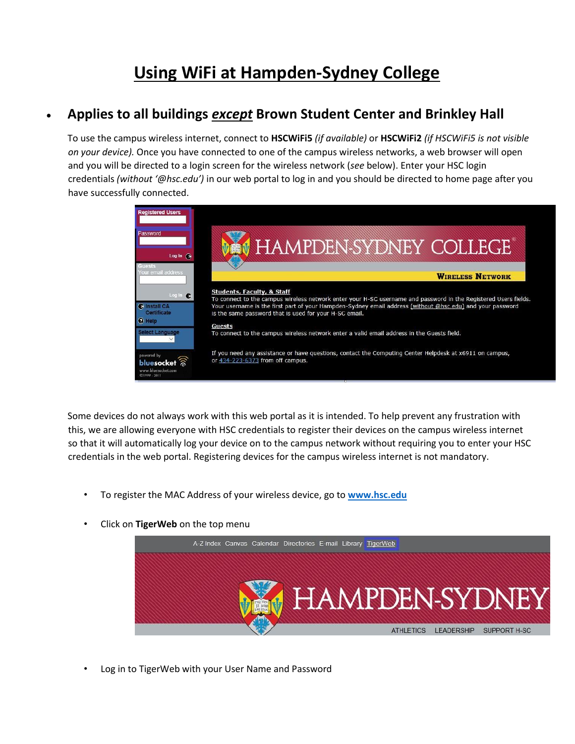## **Using WiFi at Hampden-Sydney College**

## • **Applies to all buildings** *except* **Brown Student Center and Brinkley Hall**

To use the campus wireless internet, connect to **HSCWiFi5** *(if available)* or **HSCWiFi2** *(if HSCWiFi5 is not visible on your device).* Once you have connected to one of the campus wireless networks, a web browser will open and you will be directed to a login screen for the wireless network (*see* below). Enter your HSC login credentials *(without '@hsc.edu')* in our web portal to log in and you should be directed to home page after you have successfully connected.



Some devices do not always work with this web portal as it is intended. To help prevent any frustration with this, we are allowing everyone with HSC credentials to register their devices on the campus wireless internet so that it will automatically log your device on to the campus network without requiring you to enter your HSC credentials in the web portal. Registering devices for the campus wireless internet is not mandatory.

- To register the MAC Address of your wireless device, go to **[www.hsc.edu](http://www.hsc.edu/)**
- Click on **TigerWeb** on the top menu



• Log in to TigerWeb with your User Name and Password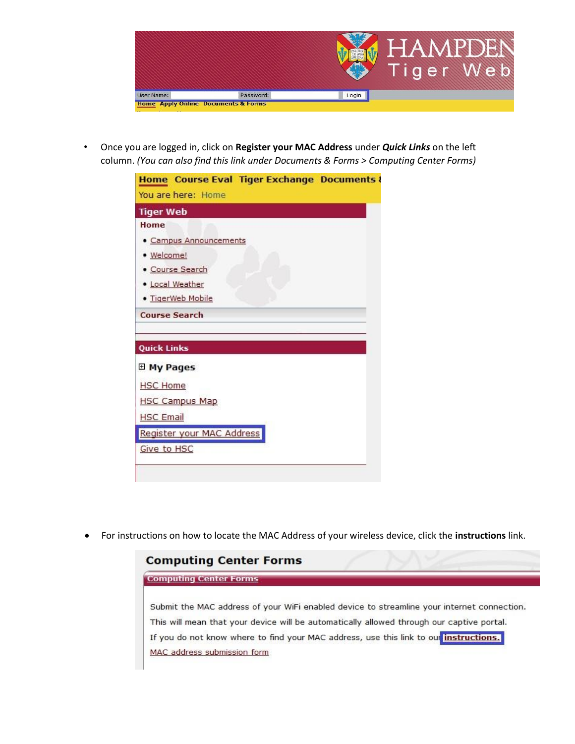

• Once you are logged in, click on **Register your MAC Address** under *Quick Links* on the left column. *(You can also find this link under Documents & Forms > Computing Center Forms)*

|                      |                           | Home Course Eval Tiger Exchange Documents & |  |
|----------------------|---------------------------|---------------------------------------------|--|
|                      | You are here: Home        |                                             |  |
| <b>Tiger Web</b>     |                           |                                             |  |
| Home                 |                           |                                             |  |
|                      | • Campus Announcements    |                                             |  |
| · Welcome!           |                           |                                             |  |
| • Course Search      |                           |                                             |  |
| · Local Weather      |                           |                                             |  |
|                      | · TigerWeb Mobile         |                                             |  |
|                      |                           |                                             |  |
| <b>Course Search</b> |                           |                                             |  |
|                      |                           |                                             |  |
| <b>Quick Links</b>   |                           |                                             |  |
| <b>El My Pages</b>   |                           |                                             |  |
| <b>HSC Home</b>      |                           |                                             |  |
|                      | <b>HSC Campus Map</b>     |                                             |  |
| <b>HSC Email</b>     |                           |                                             |  |
|                      | Register your MAC Address |                                             |  |

• For instructions on how to locate the MAC Address of your wireless device, click the **instructions** link.